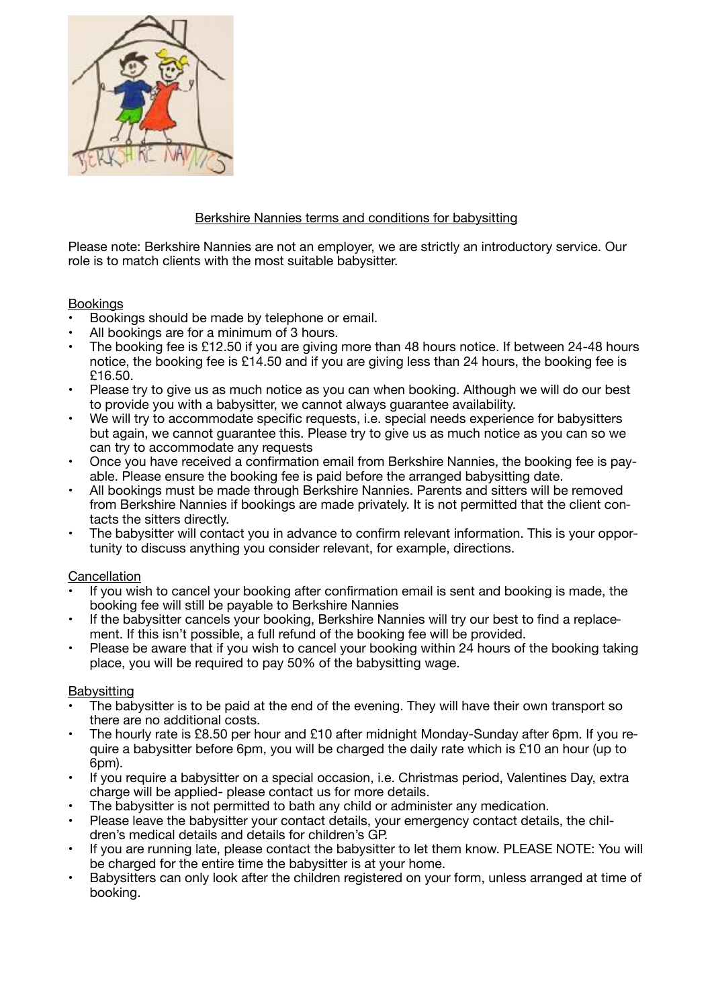

# Berkshire Nannies terms and conditions for babysitting

Please note: Berkshire Nannies are not an employer, we are strictly an introductory service. Our role is to match clients with the most suitable babysitter.

### Bookings

- Bookings should be made by telephone or email.
- All bookings are for a minimum of 3 hours.
- The booking fee is £12.50 if you are giving more than 48 hours notice. If between 24-48 hours notice, the booking fee is £14.50 and if you are giving less than 24 hours, the booking fee is £16.50.
- Please try to give us as much notice as you can when booking. Although we will do our best to provide you with a babysitter, we cannot always guarantee availability.
- We will try to accommodate specific requests, i.e. special needs experience for babysitters but again, we cannot guarantee this. Please try to give us as much notice as you can so we can try to accommodate any requests
- Once you have received a confirmation email from Berkshire Nannies, the booking fee is payable. Please ensure the booking fee is paid before the arranged babysitting date.
- All bookings must be made through Berkshire Nannies. Parents and sitters will be removed from Berkshire Nannies if bookings are made privately. It is not permitted that the client contacts the sitters directly.
- The babysitter will contact you in advance to confirm relevant information. This is your opportunity to discuss anything you consider relevant, for example, directions.

### **Cancellation**

- If you wish to cancel your booking after confirmation email is sent and booking is made, the booking fee will still be payable to Berkshire Nannies
- If the babysitter cancels your booking, Berkshire Nannies will try our best to find a replacement. If this isn't possible, a full refund of the booking fee will be provided.
- Please be aware that if you wish to cancel your booking within 24 hours of the booking taking place, you will be required to pay 50% of the babysitting wage.

### **Babysitting**

- The babysitter is to be paid at the end of the evening. They will have their own transport so there are no additional costs.
- The hourly rate is £8.50 per hour and £10 after midnight Monday-Sunday after 6pm. If you require a babysitter before 6pm, you will be charged the daily rate which is £10 an hour (up to 6<sub>pm</sub>).
- If you require a babysitter on a special occasion, i.e. Christmas period, Valentines Day, extra charge will be applied- please contact us for more details.
- The babysitter is not permitted to bath any child or administer any medication.
- Please leave the babysitter your contact details, your emergency contact details, the children's medical details and details for children's GP.
- If you are running late, please contact the babysitter to let them know. PLEASE NOTE: You will be charged for the entire time the babysitter is at your home.
- Babysitters can only look after the children registered on your form, unless arranged at time of booking.